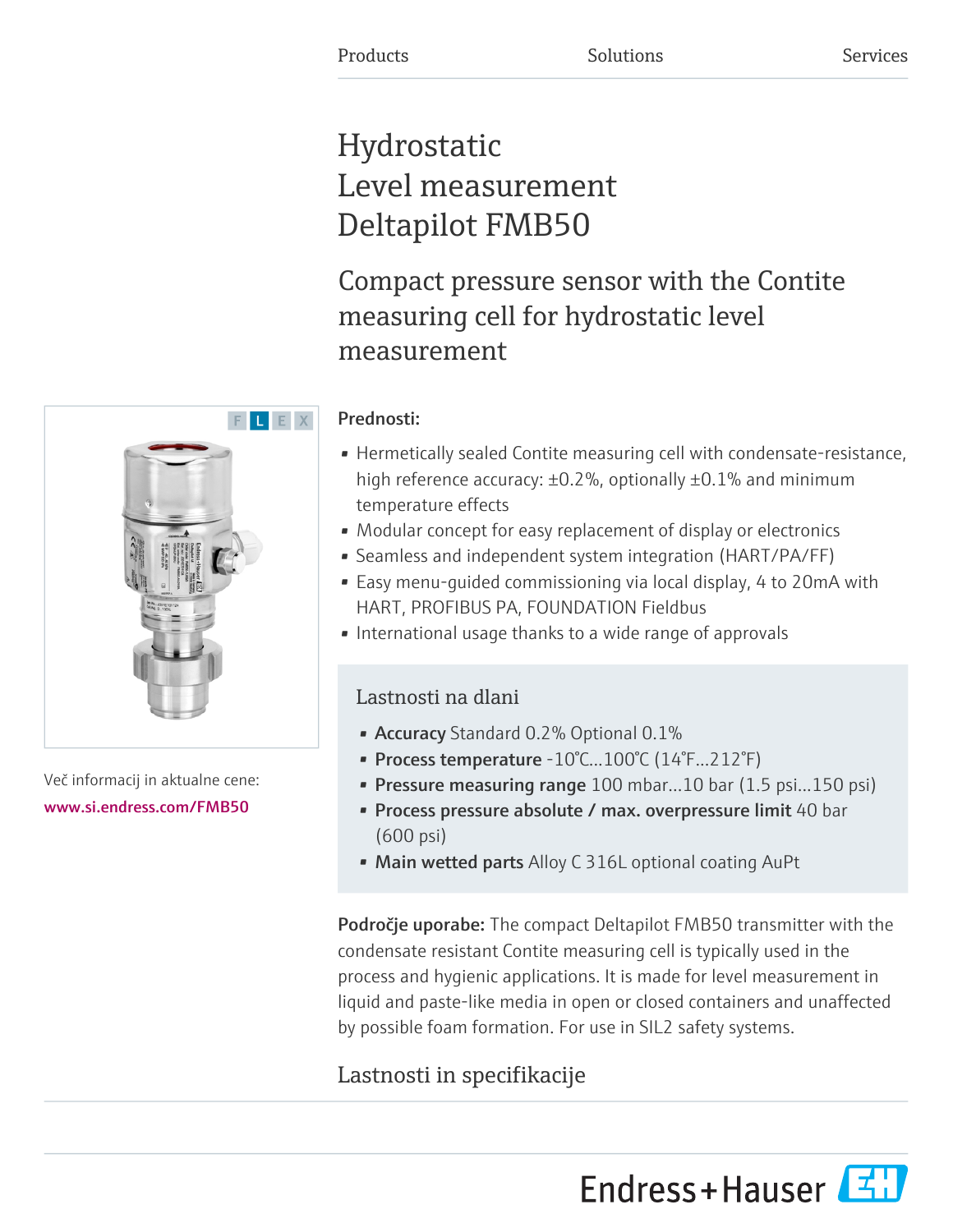# Hydrostatic Level measurement Deltapilot FMB50

Compact pressure sensor with the Contite measuring cell for hydrostatic level measurement

# Prednosti:

- Hermetically sealed Contite measuring cell with condensate-resistance, high reference accuracy: ±0.2%, optionally ±0.1% and minimum temperature effects
- Modular concept for easy replacement of display or electronics
- Seamless and independent system integration (HART/PA/FF)
- Easy menu-guided commissioning via local display, 4 to 20mA with HART, PROFIBUS PA, FOUNDATION Fieldbus
- International usage thanks to a wide range of approvals

# Lastnosti na dlani

- Accuracy Standard 0.2% Optional 0.1%
- Process temperature -10°C...100°C (14°F...212°F)
- Pressure measuring range 100 mbar...10 bar (1.5 psi...150 psi)
- Process pressure absolute / max. overpressure limit 40 bar (600 psi)
- Main wetted parts Alloy C 316L optional coating AuPt

Področje uporabe: The compact Deltapilot FMB50 transmitter with the condensate resistant Contite measuring cell is typically used in the process and hygienic applications. It is made for level measurement in liquid and paste-like media in open or closed containers and unaffected by possible foam formation. For use in SIL2 safety systems.

# Lastnosti in specifikacije

Endress+Hauser



Več informacij in aktualne cene: [www.si.endress.com/FMB50](https://www.si.endress.com/FMB50)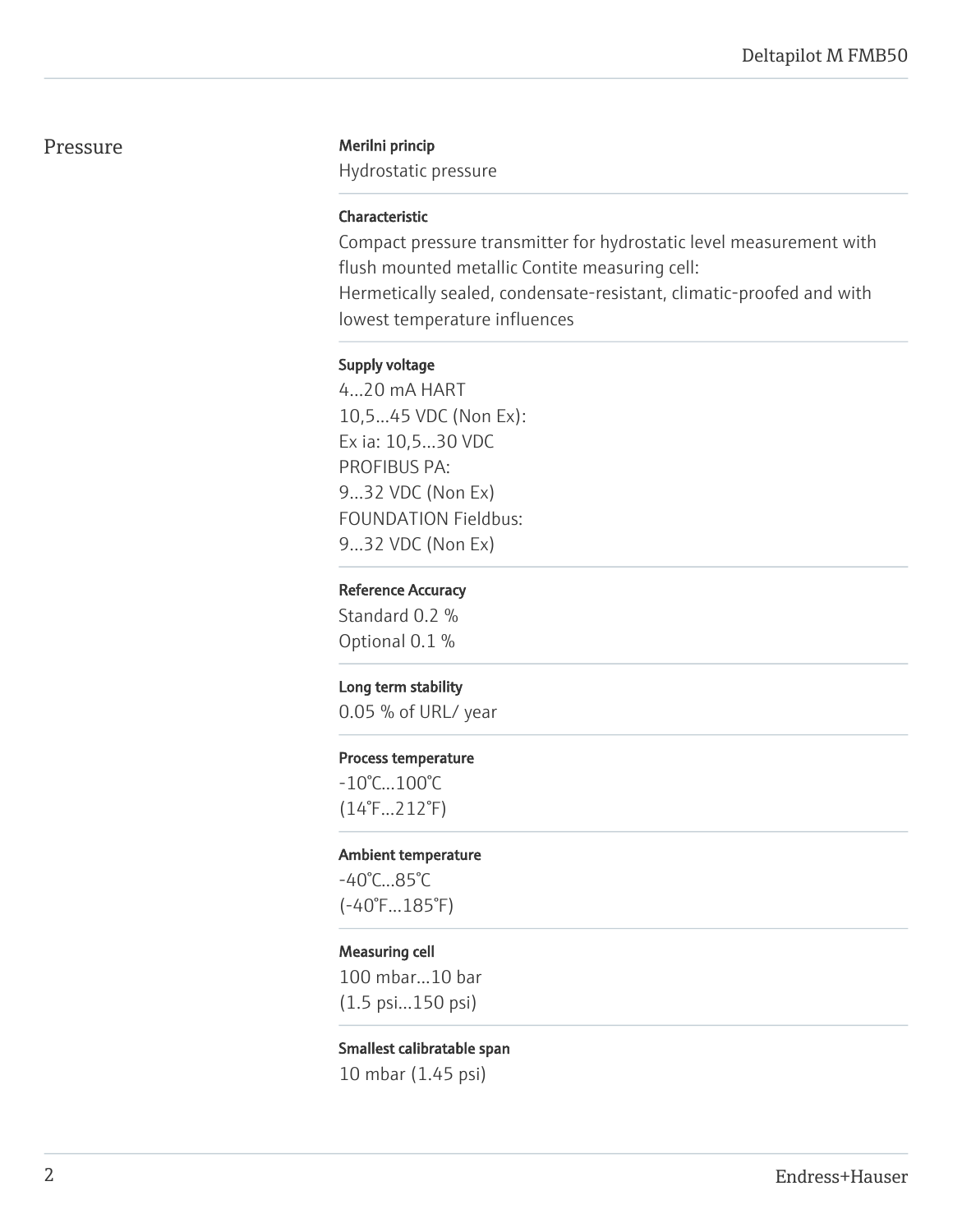#### Pressure Merilni princip

Hydrostatic pressure

#### Characteristic

Compact pressure transmitter for hydrostatic level measurement with flush mounted metallic Contite measuring cell: Hermetically sealed, condensate-resistant, climatic-proofed and with lowest temperature influences

#### Supply voltage

4...20 mA HART 10,5...45 VDC (Non Ex): Ex ia: 10,5...30 VDC PROFIBUS PA: 9...32 VDC (Non Ex) FOUNDATION Fieldbus: 9...32 VDC (Non Ex)

#### Reference Accuracy

Standard 0.2 % Optional 0.1 %

#### Long term stability

0.05 % of URL/ year

#### Process temperature

-10°C...100°C (14°F...212°F)

#### Ambient temperature

-40°C...85°C (-40°F...185°F)

#### Measuring cell

100 mbar...10 bar (1.5 psi...150 psi)

#### Smallest calibratable span

10 mbar (1.45 psi)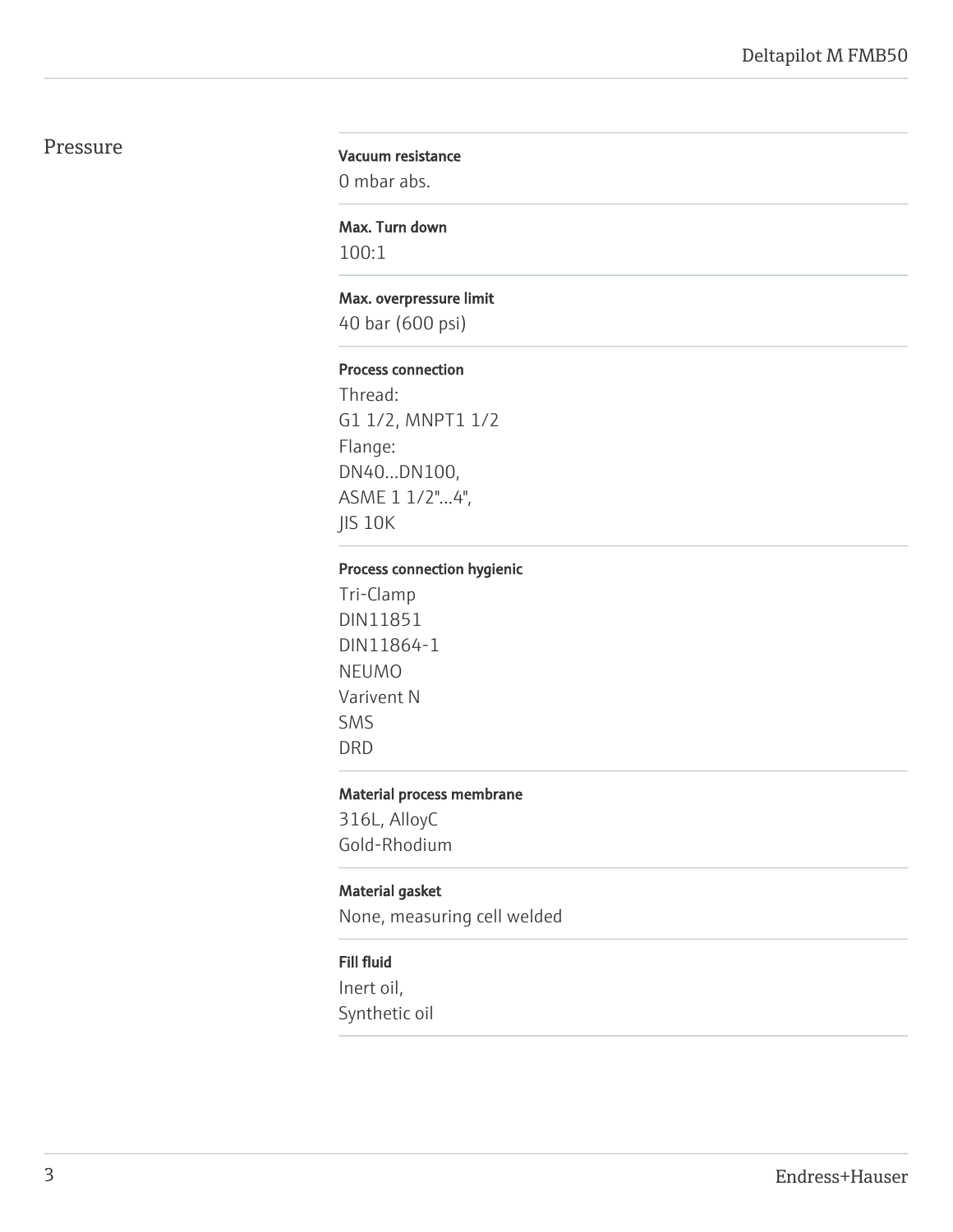# Pressure

#### Vacuum resistance

0 mbar abs.

# Max. Turn down

100:1

#### Max. overpressure limit

40 bar (600 psi)

#### Process connection

Thread: G1 1/2, MNPT1 1/2 Flange: DN40...DN100, ASME 1 1/2"...4", JIS 10K

# Process connection hygienic

Tri-Clamp DIN11851 DIN11864-1 NEUMO Varivent N SMS DRD

#### Material process membrane

316L, AlloyC Gold-Rhodium

#### Material gasket

None, measuring cell welded

#### Fill fluid

Inert oil, Synthetic oil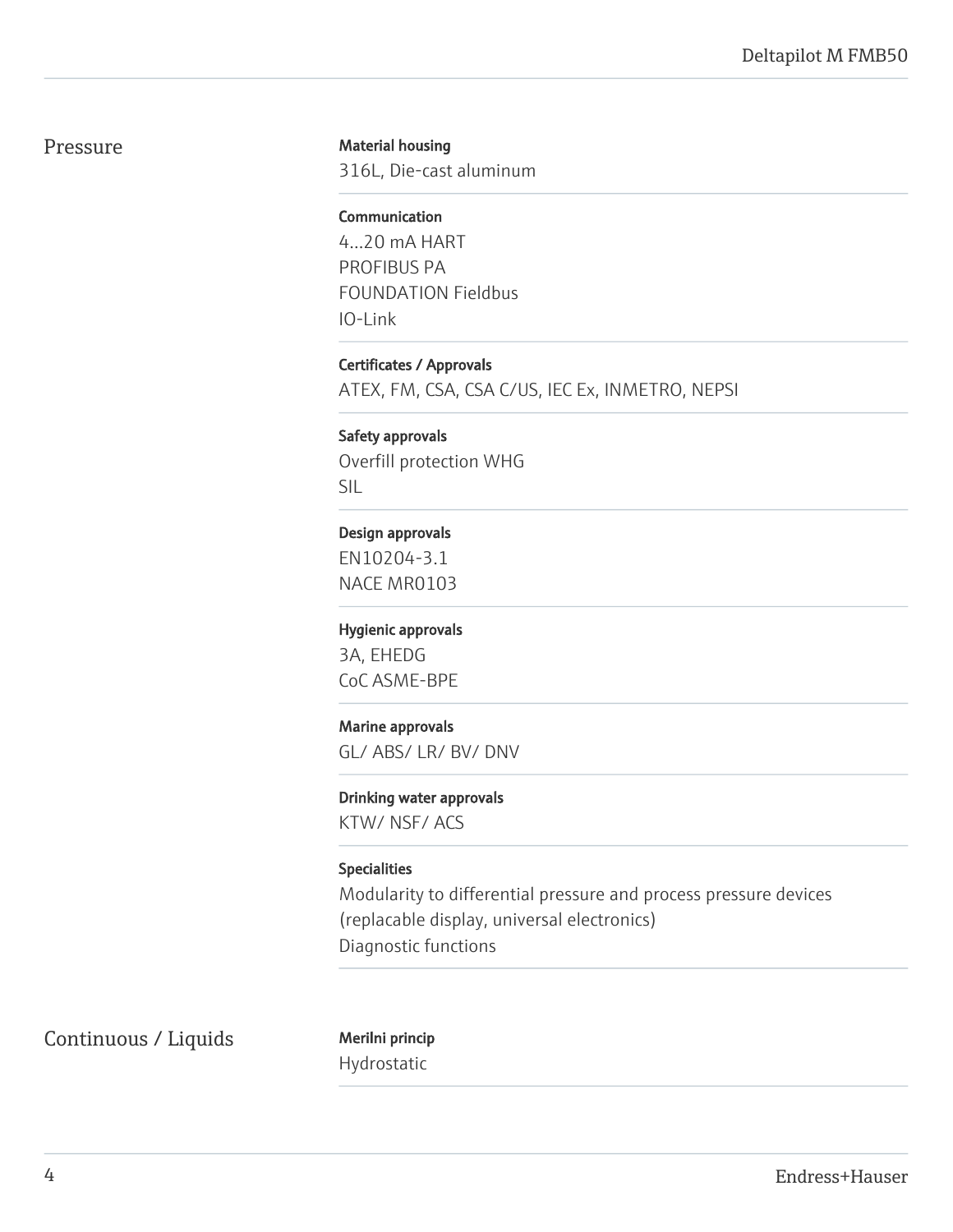## Pressure

#### Material housing

316L, Die-cast aluminum

# Communication

4...20 mA HART PROFIBUS PA FOUNDATION Fieldbus IO-Link

Certificates / Approvals ATEX, FM, CSA, CSA C/US, IEC Ex, INMETRO, NEPSI

Safety approvals Overfill protection WHG SIL

#### Design approvals

EN10204-3.1 NACE MR0103

#### Hygienic approvals

3A, EHEDG CoC ASME-BPE

#### Marine approvals

GL/ ABS/ LR/ BV/ DNV

#### Drinking water approvals

KTW/ NSF/ ACS

#### Specialities

Modularity to differential pressure and process pressure devices (replacable display, universal electronics) Diagnostic functions

Continuous / Liquids Merilni princip

Hydrostatic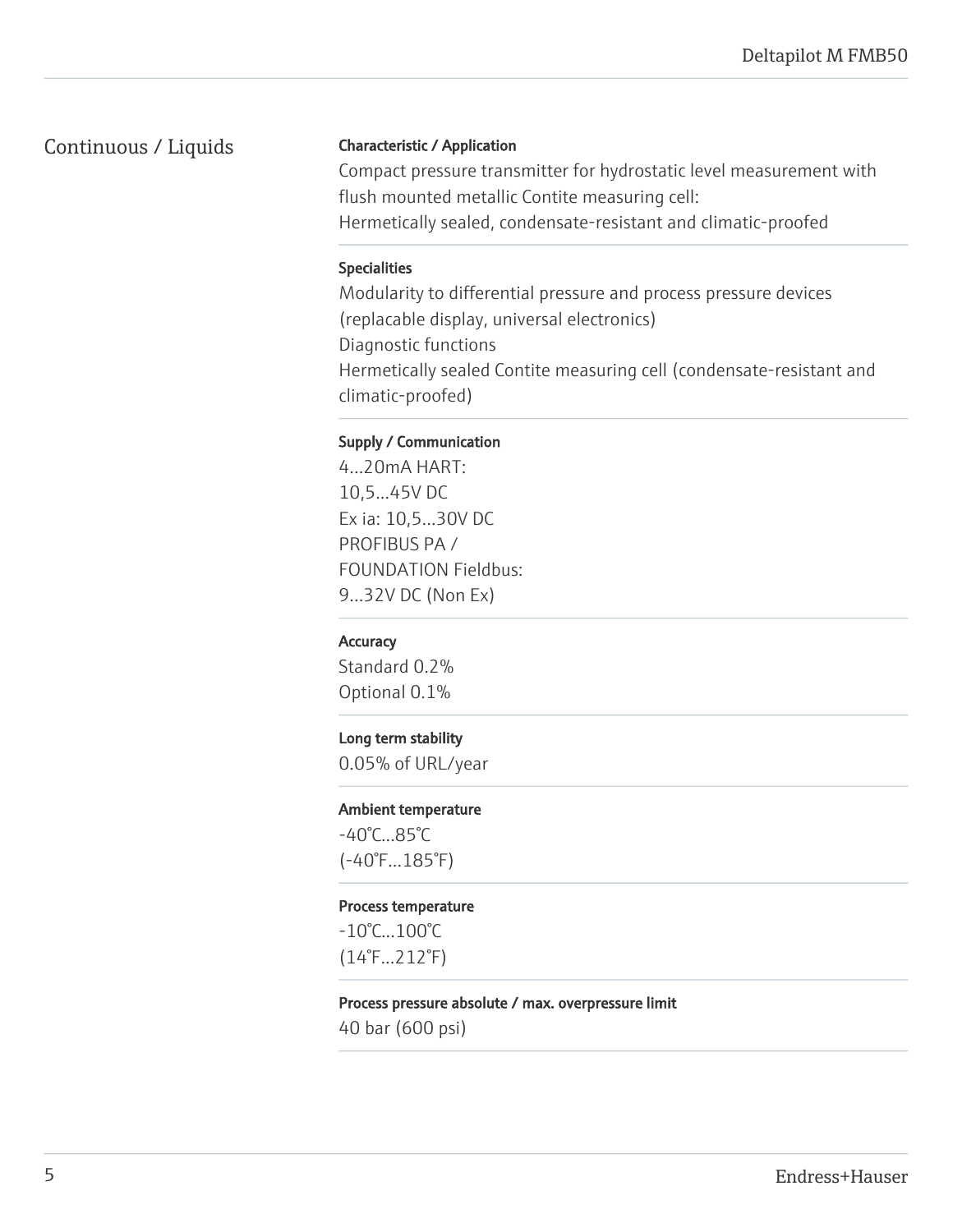# Continuous / Liquids

#### Characteristic / Application

Compact pressure transmitter for hydrostatic level measurement with flush mounted metallic Contite measuring cell: Hermetically sealed, condensate-resistant and climatic-proofed

#### Specialities

Modularity to differential pressure and process pressure devices (replacable display, universal electronics) Diagnostic functions Hermetically sealed Contite measuring cell (condensate-resistant and climatic-proofed)

## Supply / Communication

4...20mA HART: 10,5...45V DC Ex ia: 10,5...30V DC PROFIBUS PA / FOUNDATION Fieldbus: 9...32V DC (Non Ex)

## **Accuracy**

Standard 0.2% Optional 0.1%

## Long term stability

0.05% of URL/year

#### Ambient temperature

-40°C...85°C (-40°F...185°F)

#### Process temperature

-10°C...100°C (14°F...212°F)

#### Process pressure absolute / max. overpressure limit

40 bar (600 psi)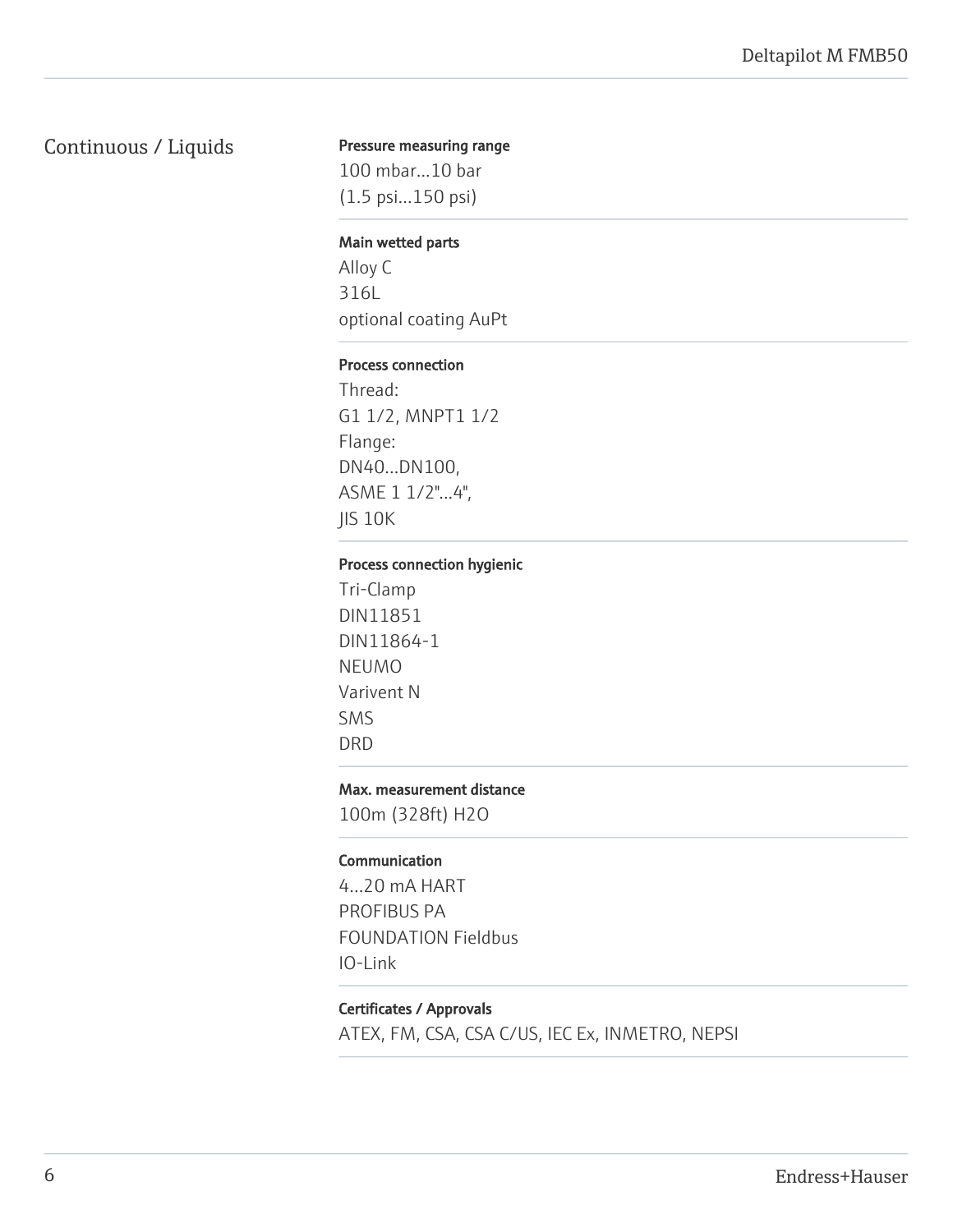# Continuous / Liquids

#### Pressure measuring range

100 mbar...10 bar (1.5 psi...150 psi)

#### Main wetted parts

Alloy C 316L optional coating AuPt

#### Process connection

Thread: G1 1/2, MNPT1 1/2 Flange: DN40...DN100, ASME 1 1/2"...4", JIS 10K

#### Process connection hygienic

Tri-Clamp DIN11851 DIN11864-1 NEUMO Varivent N SMS DRD

#### Max. measurement distance

100m (328ft) H2O

#### Communication

4...20 mA HART PROFIBUS PA FOUNDATION Fieldbus IO-Link

#### Certificates / Approvals

ATEX, FM, CSA, CSA C/US, IEC Ex, INMETRO, NEPSI